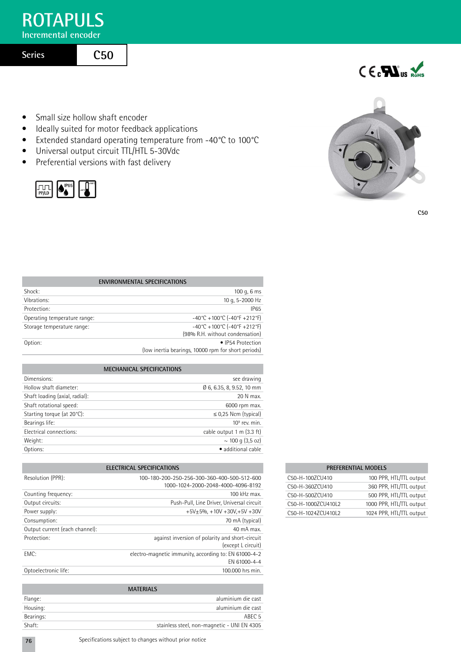## **ROTAPULS**

**Incremental encoder**

**Series**

## **C50**

- Small size hollow shaft encoder
- Ideally suited for motor feedback applications
- Extended standard operating temperature from -40°C to 100°C
- Universal output circuit TTL/HTL 5-30Vdc
- Preferential versions with fast delivery

| P<br>ш |  |  |
|--------|--|--|
|--------|--|--|



 $C \in \mathbf{F}$ us Rohs

**C50**

| <b>ENVIRONMENTAL SPECIFICATIONS</b> |                                                                          |  |  |  |
|-------------------------------------|--------------------------------------------------------------------------|--|--|--|
| Shock:                              | 100 g, $6 \text{ ms}$                                                    |  |  |  |
| Vibrations:                         | 10 g, 5-2000 Hz                                                          |  |  |  |
| Protection:                         | <b>IP65</b>                                                              |  |  |  |
| Operating temperature range:        | $-40^{\circ}$ C + 100 $^{\circ}$ C (-40 $^{\circ}$ F + 212 $^{\circ}$ F) |  |  |  |
| Storage temperature range:          | $-40^{\circ}$ C + 100 $^{\circ}$ C (-40 $^{\circ}$ F + 212 $^{\circ}$ F) |  |  |  |
|                                     | (98% R.H. without condensation)                                          |  |  |  |
| Option:                             | • IP54 Protection                                                        |  |  |  |
|                                     | (low inertia bearings, 10000 rpm for short periods)                      |  |  |  |

## **mechanical specifications**

| see drawing               |
|---------------------------|
| Ø 6, 6.35, 8, 9.52, 10 mm |
| 20 N max.                 |
| 6000 rpm max.             |
| $\leq$ 0.25 Ncm (typical) |
| $109$ rev. min.           |
| cable output 1 m (3.3 ft) |
| $\sim$ 100 g (3,5 oz)     |
| · additional cable        |
|                           |

| <b>ELECTRICAL SPECIFICATIONS</b> |                                                                                   |  |  |  |
|----------------------------------|-----------------------------------------------------------------------------------|--|--|--|
| Resolution (PPR):                | 100-180-200-250-256-300-360-400-500-512-600<br>1000-1024-2000-2048-4000-4096-8192 |  |  |  |
| Counting frequency:              | $100$ kHz max.                                                                    |  |  |  |
| Output circuits:                 | Push-Pull, Line Driver, Universal circuit                                         |  |  |  |
| Power supply:                    | $+5V+5% +10V +30V+5V +30V$                                                        |  |  |  |
| Consumption:                     | 70 mA (typical)                                                                   |  |  |  |
| Output current (each channel):   | $40 \text{ mA max}$ .                                                             |  |  |  |
| Protection:                      | against inversion of polarity and short-circuit<br>(except L circuit)             |  |  |  |
| EMC:                             | electro-magnetic immunity, according to: EN 61000-4-2<br>FN 61000-4-4             |  |  |  |
| Optoelectronic life:             | 100,000 hrs min.                                                                  |  |  |  |

| <b>MATERIALS</b> |                                             |  |  |  |
|------------------|---------------------------------------------|--|--|--|
| Flange:          | aluminium die cast                          |  |  |  |
| Housing:         | aluminium die cast                          |  |  |  |
| Bearings:        | ABFC 5                                      |  |  |  |
| Shaft:           | stainless steel, non-magnetic - UNI EN 4305 |  |  |  |

| <b>PREFERENTIAL MODELS</b> |                          |  |  |  |  |
|----------------------------|--------------------------|--|--|--|--|
| C50-H-100ZCU410            | 100 PPR, HTL/TTL output  |  |  |  |  |
| C50-H-360ZCU410            | 360 PPR, HTL/TTL output  |  |  |  |  |
| C50-H-500ZCU410            | 500 PPR, HTL/TTL output  |  |  |  |  |
| C50-H-1000ZCU410L2         | 1000 PPR, HTL/TTL output |  |  |  |  |
| C50-H-1024ZCU410L2         | 1024 PPR, HTL/TTL output |  |  |  |  |